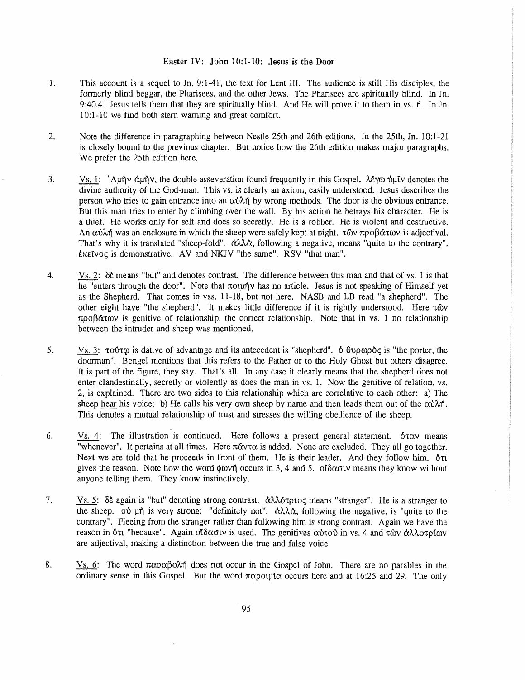## Easter IV: John 10:1-10: Jesus is the Door

- 1. This account is a sequel to Jn. 9:1-41, the text for Lent III. The audience is still His disciples, the formerly blind beggar, the Pharisees. and the other Jews. The Pharisees are spiritually blind. In Jn. 9:40.41 Jesus tells them that they are spiritually blind. And He will prove it to them in vs. 6. In Jn. 10:1-10 we find both stem warning and great comfort.
- 2. Note the difference in paragraphing between Nestle 25th and 26th editions. In the 25th, Jn. 10:1-21 is closely bound to the previous chapter. But notice how the 26th edition makes major paragraphs. We prefer the 25th edition here.
- 3. Vs. 1: 'Aμην άμην, the double asseveration found frequently in this Gospel. λέγω υμεν denotes the divine authority of the God-man. This vs. is clearly an axiom, easily understood. Jesus describes the person who tries to gain entrance into an  $\alpha \dot{\beta}$  by wrong methods. The door is the obvious entrance. But this man tries to enter by climbing over the wall. By his action he betrays his character. He is a thief. He works only for self and does so secretly. He is a robber. He is violent and destructive. An αύλή was an enclosure in which the sheep were safely kept at night. των προβάτων is adjectival. That's why it is translated "sheep-fold".  $\dot{\alpha}\lambda\lambda\dot{\alpha}$ , following a negative, means "quite to the contrary".  $\epsilon$ K $\epsilon$ ivoc is demonstrative. AV and NKJV "the same". RSV "that man".
- 4. Vs. 2:  $\delta \hat{\epsilon}$  means "but" and denotes contrast. The difference between this man and that of vs. 1 is that he "enters through the door". Note that  $\pi$ oun'ty has no article. Jesus is not speaking of Himself yet as the Shepherd. That comes in vss. 11-18, but not here. NASB and LB read "a shepherd". The other eight have "the shepherd". It makes little difference if it is rightly understood. Here  $\tau$  ov  $\pi \rho \partial \beta \hat{\alpha} \tau \omega$  is genitive of relationship, the correct relationship. Note that in vs. 1 no relationship between the intruder and sheep was mentioned.
- 5. Vs. 3:  $\tau$ o ot  $\varphi$  is dative of advantage and its antecedent is "shepherd". 6  $\theta$  $\varphi$  $\varphi$  of  $\varphi$  is "the porter, the doorman". Bengel mentions that this refers to the Father or to the Holy Ghost but others disagree. It is part of the figure, they say. That's all. In any case it clearly means that the shepherd does not enter clandestinally, secretly or violently as does the man in vs. 1. Now the genitive of relation, vs. 2, is explained. There are two sides to this relationship which are correlative to each other: a) The sheep hear his voice; b) He calls his very own sheep by name and then leads them out of the  $\alpha\dot{\beta}\lambda\dot{\eta}$ . This denotes a mutual relationship of trust and stresses the willing obedience of the sheep.
- 6. Vs. 4: The illustration is continued. Here follows a present general statement.  $\delta \tau \alpha v$  means "whenever". It pertains at all times. Here  $\pi \alpha v \tau \alpha$  is added. None are excluded. They all go together. Next we are told that he proceeds in front of them. He is their leader. And they follow him.  $\delta \pi$ gives the reason. Note how the word  $\phi$  over  $\phi$  occurs in 3, 4 and 5. ot  $\delta \alpha$  ouv means they know without anyone telling them. They know instinctively.
- 7. Vs. 5:  $\delta \hat{\epsilon}$  again is "but" denoting strong contrast.  $\dot{\alpha} \lambda \lambda \dot{\alpha} \tau \rho \nu \rho \rho$  means "stranger". He is a stranger to the sheep.  $\phi$  un is very strong: "definitely not".  $\dot{\alpha}\lambda\lambda\dot{\alpha}$ , following the negative, is "quite to the contrary". Fleeing from the stranger rather than following him is strong contrast. Again we have the reason in δτι "because". Again οίδασιν is used. The genitives αύτου in vs. 4 and των άλλοτρίων are adjectival, making a distinction between the true and false voice.
- 8. Vs. 6: The word  $\pi \alpha \beta \alpha \lambda \eta$  does not occur in the Gospel of John. There are no parables in the ordinary sense in this Gospel. But the word  $\pi\alpha\rho o\nu\alpha$  occurs here and at 16:25 and 29. The only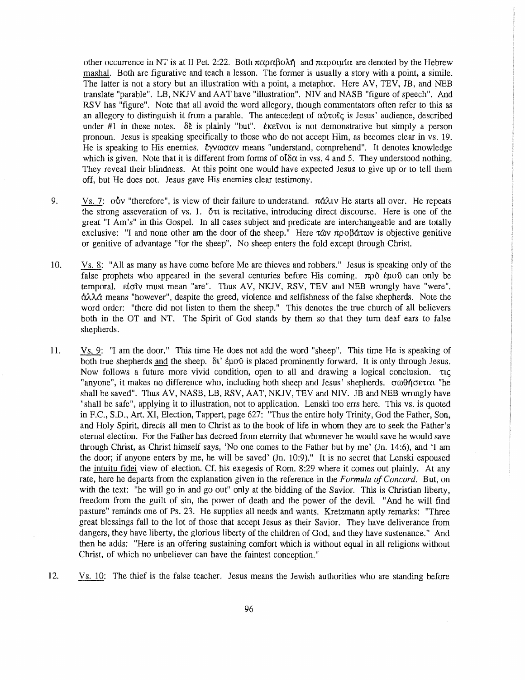other occurrence in NT is at II Pet. 2:22. Both  $\pi \alpha \beta \alpha \beta \alpha \lambda \eta$  and  $\pi \alpha \beta \alpha \mu \alpha$  are denoted by the Hebrew mashal. Both are figurative and teach a lesson. The former is usually a story with a point, a simile. The latter is not a story but an illustration with a point, a metaphor. Here AV, TEV, JB, and NEB translate "parable". LB, NKJV and AAT have "illustration". NIV and NASB "figure of speech". And RSV has "figure". Note that all avoid the word allegory, though commentators often refer to this as an allegory to distinguish it from a parable. The antecedent of  $\alpha \dot{\beta}$  rofic is Jesus' audience, described under #1 in these notes.  $\delta \xi$  is plainly "but". Exetyou is not demonstrative but simply a person pronoun. Jesus is speaking specifically to those who do not accept Him, as becomes clear in vs. 19. He is speaking to His enemies.  $\epsilon yw\omega\sigma\alpha y$  means "understand, comprehend". It denotes knowledge which is given. Note that it is different from forms of  $\partial \delta \alpha$  in vss. 4 and 5. They understood nothing. They reveal their blindness. At this point one would have expected Jesus to give up or to tell them off, but He does not. Jesus gave His enemies clear testimony.

- 9. Vs. 7:  $\dot{\text{ov}}$  "therefore", is view of their failure to understand.  $\pi \dot{\alpha} \lambda \dot{\alpha}$  He starts all over. He repeats the strong asseveration of vs. 1.  $\delta \pi$  is recitative, introducing direct discourse. Here is one of the grea<sup>t</sup>"I Am's" in this Gospel. In all cases subject and predicate are interchangeable and are totally exclusive: "I and none other am the door of the sheep." Here  $\tau\omega v \pi\rho\omega\beta\alpha\tau\omega v$  is objective genitive or genitive of advantage "for the sheep". No sheep enters the fold except through Christ.
- 10. Vs. 8: "All as many as have come before Me are thieves and robbers." Jesus is speaking only of the false prophets who appeared in the several centuries before His coming.  $\pi \rho \delta$  eugo can only be temporal. £iatv must mean "are". Thus AV, NKJV, RSV, TEV and NEB wrongly have "were".  $\alpha\lambda\lambda\alpha$  means "however", despite the greed, violence and selfishness of the false shepherds. Note the word order: "there did not listen to them the sheep." This denotes the true church of all believers both in the OT and NT. The Spirit of God stands by them so that they tum deaf ears to false shepherds.
- 11. Vs. 9: "I am the door." This time He does not add the word "sheep". This time He is speaking of both true shepherds and the sheep.  $\delta t'$  euro is placed prominently forward. It is only through Jesus. Now follows a future more vivid condition, open to all and drawing a logical conclusion.  $\tau_{\text{LC}}$ "anyone", it makes no difference who, including both sheep and Jesus' shepherds. σωθήσεται "he shall be saved". Thus AV, NASB, LB, RSV, AAT, NKJV, TEV and NIV. JB and NEB wrongly have "shall be safe", applying it to illustration, not to application. Lenski too errs here. This vs. is quoted in F.C., S.D., Art. XI, Election, Tappert, page 627: "Thus the entire holy Trinity, God the Father, Son, and Holy Spirit, directs all men to Christ as to the book of life in whom they are to seek the Father's eternal election. For the Father has decreed from eternity that whomever he would save he would save through Christ, as Christ himself says, 'No one comes to the Father but by me' (Jn. 14:6), and 'I am the door; if anyone enters by me, he will be saved' (Jn. 10:9)." It is no secret that Lenski espoused the intuitu fidei view of election. Cf. his exegesis of Rom. 8:29 where it comes out plainly. At any rate, here he departs from the explanation given in the reference in the *Formula of Concord*. But, on with the text: "he will go in and go out" only at the bidding of the Savior. This is Christian liberty, freedom from the guilt of sin, the power of death and the power of the devil. "And he will find pasture" reminds one of Ps. 23. He supplies all needs and wants. Kretzmann aptly remarks: "Three great blessings fall to the lot of those that accept Jesus as their Savior. They have deliverance from dangers, they have liberty, the glorious liberty of the children of God, and they have sustenance." And then he adds: "Here is an offering sustaining comfort which is without equal in all religions without Christ, of which no unbeliever can have the faintest conception."
- 12. Vs. 10: The thief is the false teacher. Jesus means the Jewish authorities who are standing before